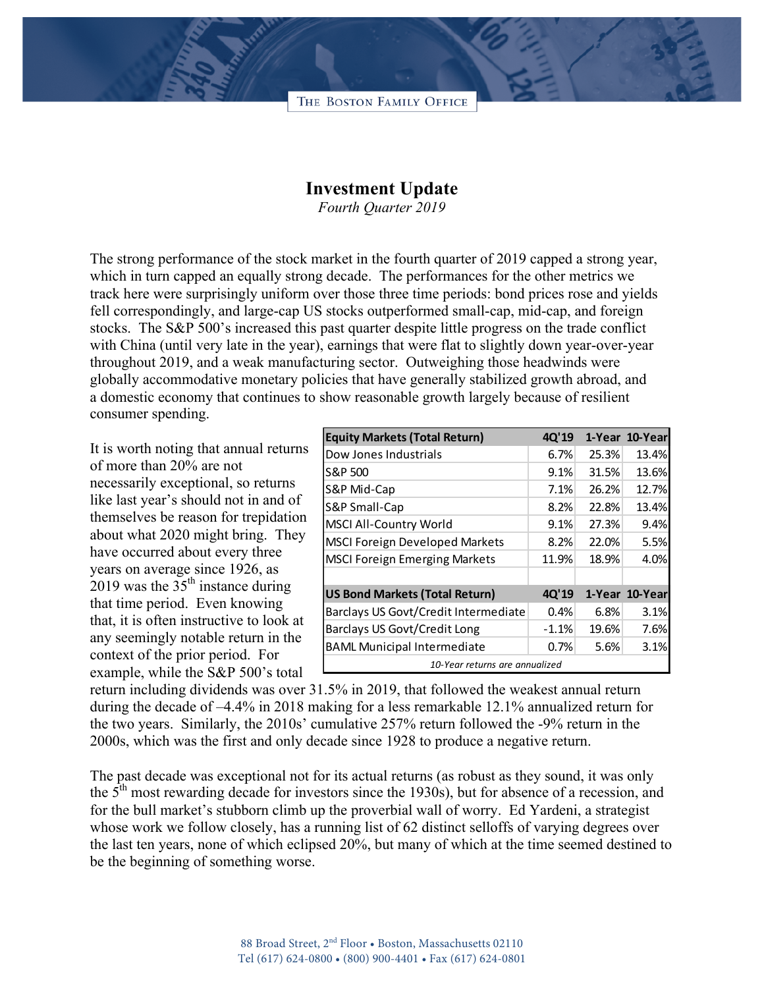THE BOSTON FAMILY OFFICE

## **Investment Update**

*Fourth Quarter 2019*

The strong performance of the stock market in the fourth quarter of 2019 capped a strong year, which in turn capped an equally strong decade. The performances for the other metrics we track here were surprisingly uniform over those three time periods: bond prices rose and yields fell correspondingly, and large-cap US stocks outperformed small-cap, mid-cap, and foreign stocks. The S&P 500's increased this past quarter despite little progress on the trade conflict with China (until very late in the year), earnings that were flat to slightly down year-over-year throughout 2019, and a weak manufacturing sector. Outweighing those headwinds were globally accommodative monetary policies that have generally stabilized growth abroad, and a domestic economy that continues to show reasonable growth largely because of resilient consumer spending.

It is worth noting that annual returns of more than 20% are not necessarily exceptional, so returns like last year's should not in and of themselves be reason for trepidation about what 2020 might bring. They have occurred about every three years on average since 1926, as 2019 was the  $35<sup>th</sup>$  instance during that time period. Even knowing that, it is often instructive to look at any seemingly notable return in the context of the prior period. For example, while the S&P 500's total

| <b>Equity Markets (Total Return)</b>  | 4Q'19   |       | 1-Year 10-Yearl |
|---------------------------------------|---------|-------|-----------------|
| Dow Jones Industrials                 | 6.7%    | 25.3% | 13.4%           |
| S&P 500                               | 9.1%    | 31.5% | 13.6%           |
| S&P Mid-Cap                           | 7.1%    | 26.2% | 12.7%           |
| S&P Small-Cap                         | 8.2%    | 22.8% | 13.4%           |
| <b>MSCI All-Country World</b>         | 9.1%    | 27.3% | 9.4%            |
| <b>MSCI Foreign Developed Markets</b> | 8.2%    | 22.0% | 5.5%            |
| <b>MSCI Foreign Emerging Markets</b>  | 11.9%   | 18.9% | 4.0%            |
|                                       |         |       |                 |
| <b>US Bond Markets (Total Return)</b> | 4Q'19   |       | 1-Year 10-Year  |
| Barclays US Govt/Credit Intermediate  | 0.4%    | 6.8%  | 3.1%            |
| Barclays US Govt/Credit Long          | $-1.1%$ | 19.6% | 7.6%            |
| <b>BAML Municipal Intermediate</b>    | 0.7%    | 5.6%  | 3.1%            |
| 10-Year returns are annualized        |         |       |                 |

return including dividends was over 31.5% in 2019, that followed the weakest annual return during the decade of –4.4% in 2018 making for a less remarkable 12.1% annualized return for the two years. Similarly, the 2010s' cumulative 257% return followed the -9% return in the 2000s, which was the first and only decade since 1928 to produce a negative return.

The past decade was exceptional not for its actual returns (as robust as they sound, it was only the  $5<sup>th</sup>$  most rewarding decade for investors since the 1930s), but for absence of a recession, and for the bull market's stubborn climb up the proverbial wall of worry. Ed Yardeni, a strategist whose work we follow closely, has a running list of 62 distinct selloffs of varying degrees over the last ten years, none of which eclipsed 20%, but many of which at the time seemed destined to be the beginning of something worse.